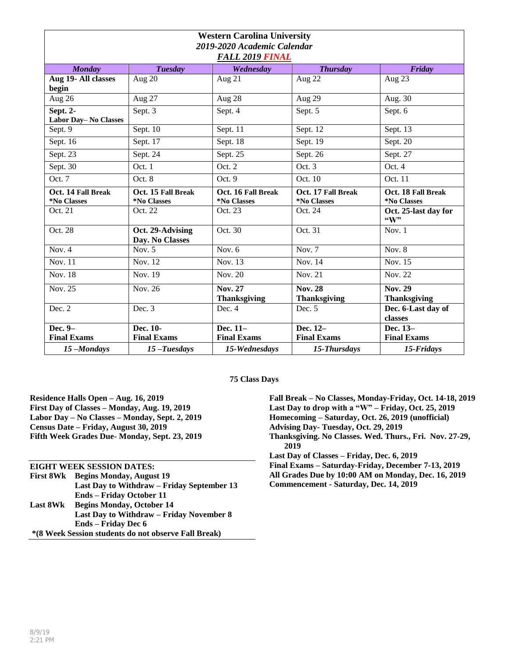| <b>Western Carolina University</b>                    |                    |                     |                     |                             |  |
|-------------------------------------------------------|--------------------|---------------------|---------------------|-----------------------------|--|
| 2019-2020 Academic Calendar<br><b>FALL 2019 FINAL</b> |                    |                     |                     |                             |  |
| <b>Monday</b>                                         | <b>Tuesday</b>     | Wednesday           | <b>Thursday</b>     | Friday                      |  |
| Aug 19- All classes                                   | Aug 20             | Aug 21              | Aug 22              | Aug 23                      |  |
| begin                                                 |                    |                     |                     |                             |  |
| Aug 26                                                | Aug 27             | Aug 28              | Aug 29              | Aug. 30                     |  |
| Sept. 2-                                              | Sept. 3            | Sept. 4             | Sept. 5             | Sept. 6                     |  |
| Labor Day-No Classes                                  |                    |                     |                     |                             |  |
| Sept. 9                                               | Sept. 10           | Sept. 11            | Sept. 12            | Sept. 13                    |  |
| Sept. 16                                              | Sept. 17           | Sept. 18            | Sept. 19            | Sept. 20                    |  |
| Sept. 23                                              | Sept. 24           | Sept. 25            | Sept. 26            | Sept. 27                    |  |
| Sept. 30                                              | Oct. 1             | Oct. 2              | Oct. 3              | Oct. 4                      |  |
| Oct. 7                                                | Oct.8              | Oct.9               | Oct. 10             | Oct. 11                     |  |
| Oct. 14 Fall Break                                    | Oct. 15 Fall Break | Oct. 16 Fall Break  | Oct. 17 Fall Break  | Oct. 18 Fall Break          |  |
| *No Classes                                           | *No Classes        | *No Classes         | *No Classes         | *No Classes                 |  |
| Oct. 21                                               | Oct. 22            | Oct. 23             | Oct. 24             | Oct. 25-last day for<br>"W" |  |
| Oct. 28                                               | Oct. 29-Advising   | Oct. 30             | Oct. 31             | Nov. $1$                    |  |
|                                                       | Day. No Classes    |                     |                     |                             |  |
| Nov. $4$                                              | Nov. $5$           | Nov. $6$            | Nov. $7$            | Nov. $8$                    |  |
| Nov. 11                                               | Nov. 12            | Nov. 13             | Nov. 14             | Nov. 15                     |  |
| <b>Nov. 18</b>                                        | Nov. 19            | <b>Nov. 20</b>      | Nov. 21             | Nov. 22                     |  |
| Nov. 25                                               | Nov. 26            | <b>Nov. 27</b>      | <b>Nov. 28</b>      | <b>Nov. 29</b>              |  |
|                                                       |                    | <b>Thanksgiving</b> | <b>Thanksgiving</b> | <b>Thanksgiving</b>         |  |
| Dec. 2                                                | Dec. 3             | Dec. 4              | Dec. 5              | Dec. 6-Last day of          |  |
|                                                       |                    |                     |                     | classes                     |  |
| Dec. 9-                                               | Dec. 10-           | Dec. 11-            | Dec. 12-            | Dec. 13-                    |  |
| <b>Final Exams</b>                                    | <b>Final Exams</b> | <b>Final Exams</b>  | <b>Final Exams</b>  | <b>Final Exams</b>          |  |
| 15-Mondays                                            | $15$ -Tuesdays     | 15-Wednesdays       | 15-Thursdays        | 15-Fridays                  |  |

**75 Class Days**

**Residence Halls Open – Aug. 16, 2019 First Day of Classes – Monday, Aug. 19, 2019 Labor Day – No Classes – Monday, Sept. 2, 2019 Census Date – Friday, August 30, 2019 Fifth Week Grades Due- Monday, Sept. 23, 2019**

**EIGHT WEEK SESSION DATES: First 8Wk Begins Monday, August 19 Last Day to Withdraw – Friday September 13 Ends – Friday October 11 Last 8Wk Begins Monday, October 14 Last Day to Withdraw – Friday November 8 Ends – Friday Dec 6 \*(8 Week Session students do not observe Fall Break)**

**Fall Break – No Classes, Monday-Friday, Oct. 14-18, 2019 Last Day to drop with a "W" – Friday, Oct. 25, 2019 Homecoming – Saturday, Oct. 26, 2019 (unofficial) Advising Day- Tuesday, Oct. 29, 2019 Thanksgiving. No Classes. Wed. Thurs., Fri. Nov. 27-29, 2019 Last Day of Classes – Friday, Dec. 6, 2019 Final Exams – Saturday-Friday, December 7-13, 2019 All Grades Due by 10:00 AM on Monday, Dec. 16, 2019**

**Commencement - Saturday, Dec. 14, 2019**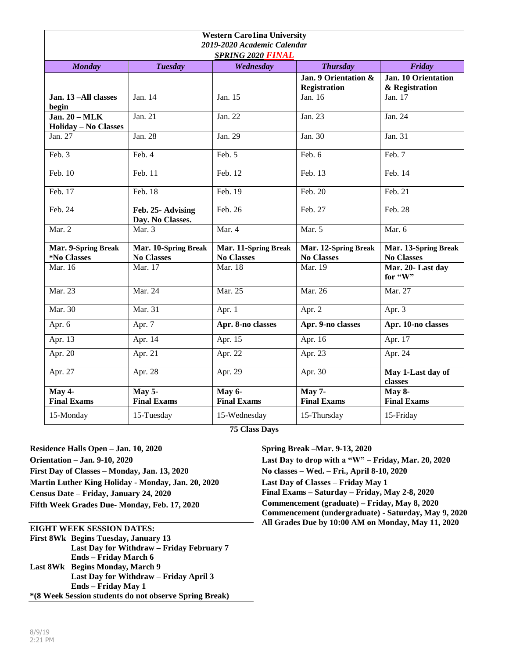| <b>Western Carolina University</b><br>2019-2020 Academic Calendar<br><b>SPRING 2020 FINAL</b> |                                           |                                           |                                             |                                              |
|-----------------------------------------------------------------------------------------------|-------------------------------------------|-------------------------------------------|---------------------------------------------|----------------------------------------------|
| <b>Monday</b>                                                                                 | <b>Tuesday</b>                            | Wednesday                                 | <b>Thursday</b>                             | <b>Friday</b>                                |
|                                                                                               |                                           |                                           | Jan. 9 Orientation &<br><b>Registration</b> | <b>Jan. 10 Orientation</b><br>& Registration |
| Jan. 13-All classes<br>begin                                                                  | Jan. 14                                   | Jan. 15                                   | Jan. 16                                     | Jan. 17                                      |
| Jan. $20 - \text{MLK}$<br><b>Holiday - No Classes</b>                                         | Jan. 21                                   | Jan. 22                                   | Jan. 23                                     | Jan. 24                                      |
| Jan. 27                                                                                       | Jan. 28                                   | Jan. $29$                                 | Jan. 30                                     | Jan. 31                                      |
| Feb. 3                                                                                        | Feb. 4                                    | Feb. 5                                    | Feb. 6                                      | Feb. 7                                       |
| Feb. $10$                                                                                     | Feb. 11                                   | Feb. 12                                   | Feb. 13                                     | Feb. 14                                      |
| Feb. 17                                                                                       | Feb. 18                                   | Feb. 19                                   | Feb. 20                                     | Feb. 21                                      |
| Feb. 24                                                                                       | Feb. 25- Advising<br>Day. No Classes.     | Feb. 26                                   | Feb. 27                                     | Feb. 28                                      |
| Mar. 2                                                                                        | Mar. 3                                    | Mar. 4                                    | Mar. 5                                      | Mar. 6                                       |
| Mar. 9-Spring Break<br>*No Classes                                                            | Mar. 10-Spring Break<br><b>No Classes</b> | Mar. 11-Spring Break<br><b>No Classes</b> | Mar. 12-Spring Break<br><b>No Classes</b>   | Mar. 13-Spring Break<br><b>No Classes</b>    |
| Mar. 16                                                                                       | Mar. 17                                   | Mar. 18                                   | Mar. 19                                     | Mar. 20- Last day<br>for "W"                 |
| Mar. 23                                                                                       | Mar. 24                                   | Mar. 25                                   | Mar. 26                                     | Mar. 27                                      |
| Mar. 30                                                                                       | Mar. 31                                   | Apr. 1                                    | Apr. 2                                      | Apr. 3                                       |
| Apr. 6                                                                                        | Apr. 7                                    | Apr. 8-no classes                         | Apr. 9-no classes                           | Apr. 10-no classes                           |
| Apr. 13                                                                                       | Apr. $14$                                 | Apr. 15                                   | Apr. 16                                     | Apr. 17                                      |
| Apr. 20                                                                                       | Apr. 21                                   | Apr. 22                                   | Apr. 23                                     | Apr. 24                                      |
| Apr. 27                                                                                       | Apr. 28                                   | Apr. 29                                   | Apr. 30                                     | May 1-Last day of<br>classes                 |
| May 4-<br><b>Final Exams</b>                                                                  | May 5-<br><b>Final Exams</b>              | May 6-<br><b>Final Exams</b>              | <b>May 7-</b><br><b>Final Exams</b>         | May 8-<br><b>Final Exams</b>                 |
| 15-Monday                                                                                     | 15-Tuesday                                | 15-Wednesday                              | 15-Thursday                                 | 15-Friday                                    |

**75 Class Days**

**Residence Halls Open – Jan. 10, 2020 Orientation – Jan. 9-10, 2020 First Day of Classes – Monday, Jan. 13, 2020 Martin Luther King Holiday - Monday, Jan. 20, 2020**

**Census Date – Friday, January 24, 2020**

**Fifth Week Grades Due- Monday, Feb. 17, 2020**

## **EIGHT WEEK SESSION DATES:**

**First 8Wk Begins Tuesday, January 13 Last Day for Withdraw – Friday February 7 Ends – Friday March 6 Last 8Wk Begins Monday, March 9 Last Day for Withdraw – Friday April 3 Ends – Friday May 1 \*(8 Week Session students do not observe Spring Break)**

## **Spring Break –Mar. 9-13, 2020**

**Last Day to drop with a "W" – Friday, Mar. 20, 2020 No classes – Wed. – Fri., April 8-10, 2020 Last Day of Classes – Friday May 1 Final Exams – Saturday – Friday, May 2-8, 2020 Commencement (graduate) – Friday, May 8, 2020 Commencement (undergraduate) - Saturday, May 9, 2020 All Grades Due by 10:00 AM on Monday, May 11, 2020**